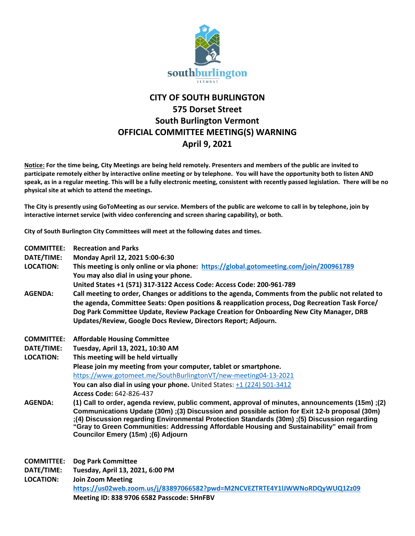

## **CITY OF SOUTH BURLINGTON 575 Dorset Street South Burlington Vermont OFFICIAL COMMITTEE MEETING(S) WARNING April 9, 2021**

**Notice: For the time being, City Meetings are being held remotely. Presenters and members of the public are invited to participate remotely either by interactive online meeting or by telephone. You will have the opportunity both to listen AND speak, as in a regular meeting. This will be a fully electronic meeting, consistent with recently passed legislation. There will be no physical site at which to attend the meetings.** 

**The City is presently using GoToMeeting as our service. Members of the public are welcome to call in by telephone, join by interactive internet service (with video conferencing and screen sharing capability), or both.**

**City of South Burlington City Committees will meet at the following dates and times.** 

| <b>COMMITTEE:</b> | <b>Recreation and Parks</b>                                                                                                                                                                                                                                                                                                                                                                                                         |
|-------------------|-------------------------------------------------------------------------------------------------------------------------------------------------------------------------------------------------------------------------------------------------------------------------------------------------------------------------------------------------------------------------------------------------------------------------------------|
| DATE/TIME:        | Monday April 12, 2021 5:00-6:30                                                                                                                                                                                                                                                                                                                                                                                                     |
| <b>LOCATION:</b>  | This meeting is only online or via phone: https://global.gotomeeting.com/join/200961789                                                                                                                                                                                                                                                                                                                                             |
|                   | You may also dial in using your phone.                                                                                                                                                                                                                                                                                                                                                                                              |
|                   | United States +1 (571) 317-3122 Access Code: Access Code: 200-961-789                                                                                                                                                                                                                                                                                                                                                               |
| <b>AGENDA:</b>    | Call meeting to order, Changes or additions to the agenda, Comments from the public not related to                                                                                                                                                                                                                                                                                                                                  |
|                   | the agenda, Committee Seats: Open positions & reapplication process, Dog Recreation Task Force/                                                                                                                                                                                                                                                                                                                                     |
|                   | Dog Park Committee Update, Review Package Creation for Onboarding New City Manager, DRB                                                                                                                                                                                                                                                                                                                                             |
|                   | Updates/Review, Google Docs Review, Directors Report; Adjourn.                                                                                                                                                                                                                                                                                                                                                                      |
| <b>COMMITTEE:</b> | <b>Affordable Housing Committee</b>                                                                                                                                                                                                                                                                                                                                                                                                 |
| DATE/TIME:        | Tuesday, April 13, 2021, 10:30 AM                                                                                                                                                                                                                                                                                                                                                                                                   |
| <b>LOCATION:</b>  | This meeting will be held virtually                                                                                                                                                                                                                                                                                                                                                                                                 |
|                   | Please join my meeting from your computer, tablet or smartphone.                                                                                                                                                                                                                                                                                                                                                                    |
|                   | https://www.gotomeet.me/SouthBurlingtonVT/new-meeting04-13-2021                                                                                                                                                                                                                                                                                                                                                                     |
|                   | You can also dial in using your phone. United States: $+1$ (224) 501-3412                                                                                                                                                                                                                                                                                                                                                           |
|                   | Access Code: 642-826-437                                                                                                                                                                                                                                                                                                                                                                                                            |
| <b>AGENDA:</b>    | (15); (15m) Call to order, agenda review, public comment, approval of minutes, announcements (15m)<br>Communications Update (30m) ;(3) Discussion and possible action for Exit 12-b proposal (30m)<br>(4) Discussion regarding Environmental Protection Standards (30m) :(5) Discussion regarding<br>"Gray to Green Communities: Addressing Affordable Housing and Sustainability" email from<br>Councilor Emery (15m) ;(6) Adjourn |
| <b>COMMITTEE:</b> | <b>Dog Park Committee</b>                                                                                                                                                                                                                                                                                                                                                                                                           |
| DATE/TIME:        | Tuesday, April 13, 2021, 6:00 PM                                                                                                                                                                                                                                                                                                                                                                                                    |
| <b>LOCATION:</b>  | <b>Join Zoom Meeting</b>                                                                                                                                                                                                                                                                                                                                                                                                            |
|                   | https://us02web.zoom.us/j/83897066582?pwd=M2NCVEZTRTE4Y1lJWWNoRDQyWUQ1Zz09                                                                                                                                                                                                                                                                                                                                                          |
|                   | Meeting ID: 838 9706 6582 Passcode: 5HnFBV                                                                                                                                                                                                                                                                                                                                                                                          |